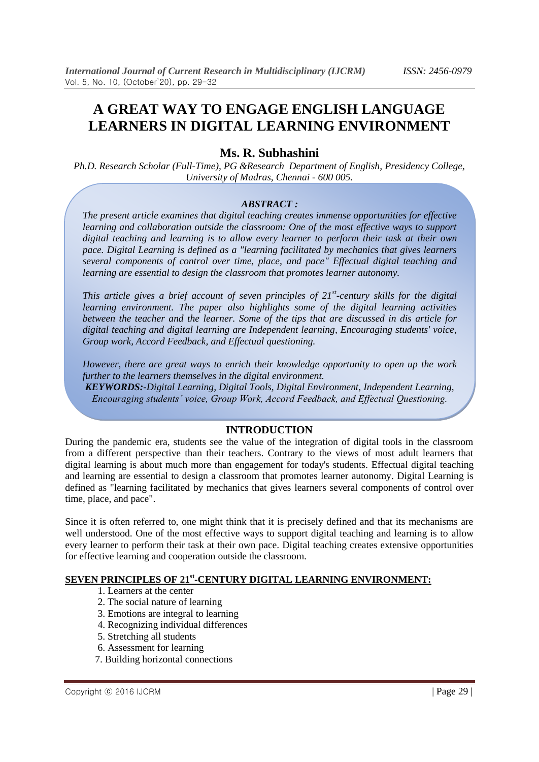# **A GREAT WAY TO ENGAGE ENGLISH LANGUAGE LEARNERS IN DIGITAL LEARNING ENVIRONMENT**

# **Ms. R. Subhashini**

*Ph.D. Research Scholar (Full-Time), PG &Research Department of English, Presidency College, University of Madras, Chennai - 600 005.*

#### *ABSTRACT :*

*The present article examines that digital teaching creates immense opportunities for effective learning and collaboration outside the classroom: One of the most effective ways to support digital teaching and learning is to allow every learner to perform their task at their own pace. Digital Learning is defined as a "learning facilitated by mechanics that gives learners several components of control over time, place, and pace" Effectual digital teaching and learning are essential to design the classroom that promotes learner autonomy.*

*This article gives a brief account of seven principles of 21st -century skills for the digital learning environment. The paper also highlights some of the digital learning activities between the teacher and the learner. Some of the tips that are discussed in dis article for digital teaching and digital learning are Independent learning, Encouraging students' voice, Group work, Accord Feedback, and Effectual questioning.* 

*However, there are great ways to enrich their knowledge opportunity to open up the work further to the learners themselves in the digital environment.* 

*KEYWORDS:-Digital Learning, Digital Tools, Digital Environment, Independent Learning, Encouraging students' voice, Group Work, Accord Feedback, and Effectual Questioning.*

# **INTRODUCTION**

During the pandemic era, students see the value of the integration of digital tools in the classroom from a different perspective than their teachers. Contrary to the views of most adult learners that digital learning is about much more than engagement for today's students. Effectual digital teaching and learning are essential to design a classroom that promotes learner autonomy. Digital Learning is defined as "learning facilitated by mechanics that gives learners several components of control over time, place, and pace".

Since it is often referred to, one might think that it is precisely defined and that its mechanisms are well understood. One of the most effective ways to support digital teaching and learning is to allow every learner to perform their task at their own pace. Digital teaching creates extensive opportunities for effective learning and cooperation outside the classroom.

# **SEVEN PRINCIPLES OF 21st -CENTURY DIGITAL LEARNING ENVIRONMENT:**

- 1. Learners at the center
- 2. The social nature of learning
- 3. Emotions are integral to learning
- 4. Recognizing individual differences
- 5. Stretching all students
- 6. Assessment for learning
- 7. Building horizontal connections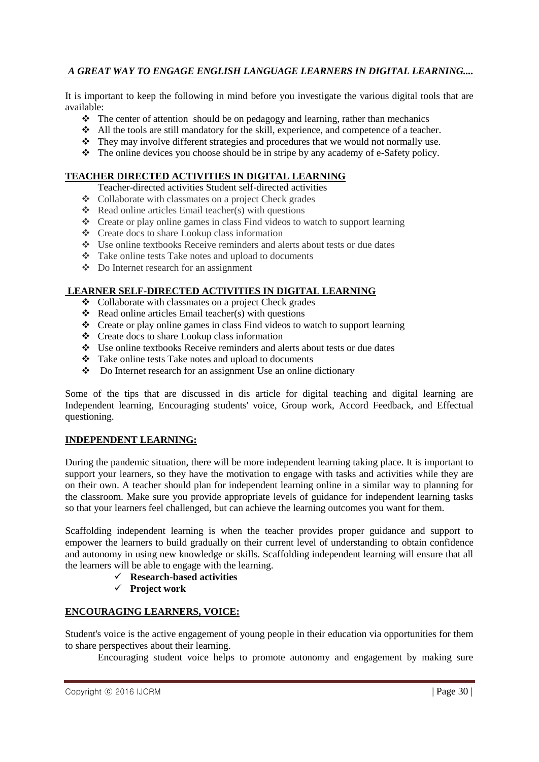# *A GREAT WAY TO ENGAGE ENGLISH LANGUAGE LEARNERS IN DIGITAL LEARNING....*

It is important to keep the following in mind before you investigate the various digital tools that are available:

- $\hat{\cdot}$  The center of attention should be on pedagogy and learning, rather than mechanics
- All the tools are still mandatory for the skill, experience, and competence of a teacher.
- \* They may involve different strategies and procedures that we would not normally use.
- The online devices you choose should be in stripe by any academy of e-Safety policy.

#### **TEACHER DIRECTED ACTIVITIES IN DIGITAL LEARNING**

#### Teacher-directed activities Student self-directed activities

- Collaborate with classmates on a project Check grades
- $\triangle$  Read online articles Email teacher(s) with questions
- Create or play online games in class Find videos to watch to support learning
- Create docs to share Lookup class information
- Use online textbooks Receive reminders and alerts about tests or due dates
- Take online tests Take notes and upload to documents
- Do Internet research for an assignment

# **LEARNER SELF-DIRECTED ACTIVITIES IN DIGITAL LEARNING**

- Collaborate with classmates on a project Check grades
- $\triangleleft$  Read online articles Email teacher(s) with questions
- Create or play online games in class Find videos to watch to support learning
- Create docs to share Lookup class information
- Use online textbooks Receive reminders and alerts about tests or due dates
- \* Take online tests Take notes and upload to documents
- Do Internet research for an assignment Use an online dictionary

Some of the tips that are discussed in dis article for digital teaching and digital learning are Independent learning, Encouraging students' voice, Group work, Accord Feedback, and Effectual questioning.

#### **INDEPENDENT LEARNING:**

During the pandemic situation, there will be more independent learning taking place. It is important to support your learners, so they have the motivation to engage with tasks and activities while they are on their own. A teacher should plan for independent learning online in a similar way to planning for the classroom. Make sure you provide appropriate levels of guidance for independent learning tasks so that your learners feel challenged, but can achieve the learning outcomes you want for them.

Scaffolding independent learning is when the teacher provides proper guidance and support to empower the learners to build gradually on their current level of understanding to obtain confidence and autonomy in using new knowledge or skills. Scaffolding independent learning will ensure that all the learners will be able to engage with the learning.

- **Research-based activities**
- **Project work**

# **ENCOURAGING LEARNERS, VOICE:**

Student's voice is the active engagement of young people in their education via opportunities for them to share perspectives about their learning.

Encouraging student voice helps to promote autonomy and engagement by making sure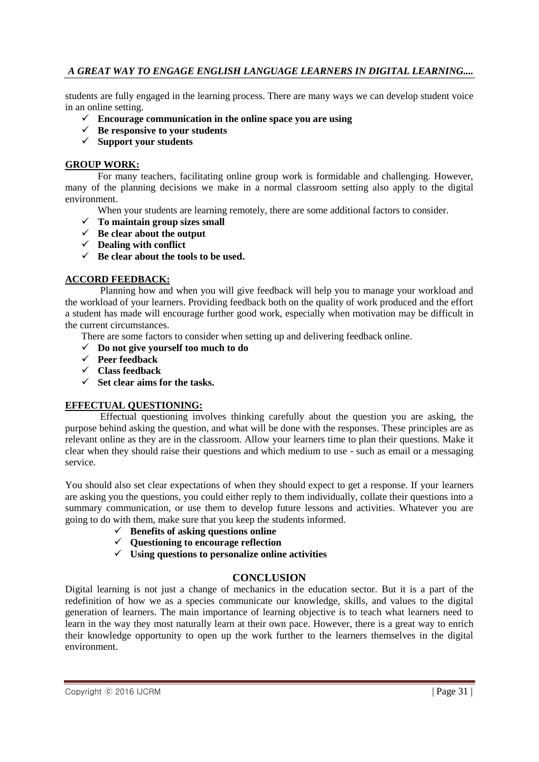# *A GREAT WAY TO ENGAGE ENGLISH LANGUAGE LEARNERS IN DIGITAL LEARNING....*

students are fully engaged in the learning process. There are many ways we can develop student voice in an online setting.

- **Encourage communication in the online space you are using**
- $\checkmark$  Be responsive to your students
- **Support your students**

#### **GROUP WORK:**

For many teachers, facilitating online group work is formidable and challenging. However, many of the planning decisions we make in a normal classroom setting also apply to the digital environment.

When your students are learning remotely, there are some additional factors to consider.

- **To maintain group sizes small**
- $\checkmark$  Be clear about the output
- **Dealing with conflict**
- $\checkmark$  Be clear about the tools to be used.

# **ACCORD FEEDBACK:**

Planning how and when you will give feedback will help you to manage your workload and the workload of your learners. Providing feedback both on the quality of work produced and the effort a student has made will encourage further good work, especially when motivation may be difficult in the current circumstances.

There are some factors to consider when setting up and delivering feedback online.

- **Do not give yourself too much to do**
- **Peer feedback**
- **Class feedback**
- **Set clear aims for the tasks.**

# **EFFECTUAL QUESTIONING:**

Effectual questioning involves thinking carefully about the question you are asking, the purpose behind asking the question, and what will be done with the responses. These principles are as relevant online as they are in the classroom. Allow your learners time to plan their questions. Make it clear when they should raise their questions and which medium to use - such as email or a messaging service.

You should also set clear expectations of when they should expect to get a response. If your learners are asking you the questions, you could either reply to them individually, collate their questions into a summary communication, or use them to develop future lessons and activities. Whatever you are going to do with them, make sure that you keep the students informed.

- $\checkmark$  Benefits of asking questions online
- **Questioning to encourage reflection**
- **Using questions to personalize online activities**

# **CONCLUSION**

Digital learning is not just a change of mechanics in the education sector. But it is a part of the redefinition of how we as a species communicate our knowledge, skills, and values to the digital generation of learners. The main importance of learning objective is to teach what learners need to learn in the way they most naturally learn at their own pace. However, there is a great way to enrich their knowledge opportunity to open up the work further to the learners themselves in the digital environment.